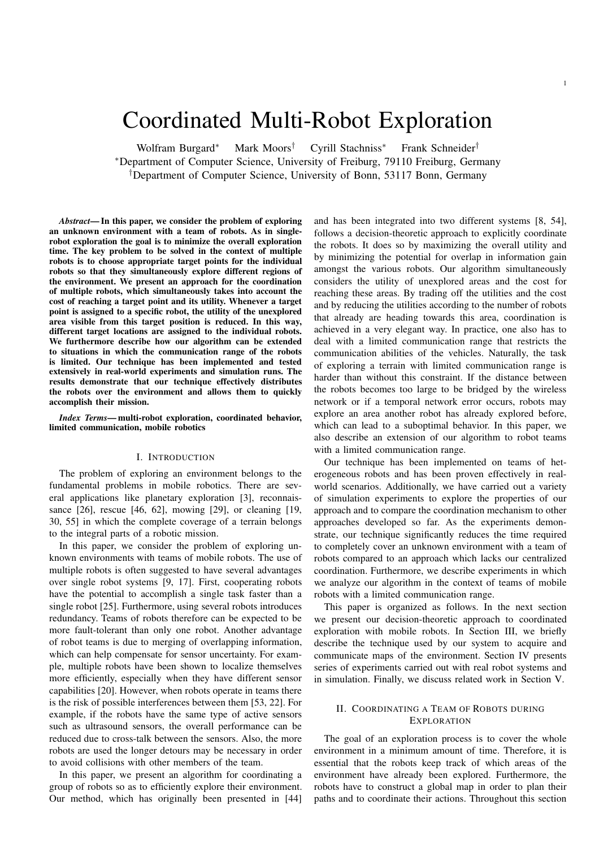# Coordinated Multi-Robot Exploration

Wolfram Burgard∗ Mark Moors† Cyrill Stachniss∗ Frank Schneider† ∗Department of Computer Science, University of Freiburg, 79110 Freiburg, Germany †Department of Computer Science, University of Bonn, 53117 Bonn, Germany

*Abstract***— In this paper, we consider the problem of exploring an unknown environment with a team of robots. As in singlerobot exploration the goal is to minimize the overall exploration time. The key problem to be solved in the context of multiple robots is to choose appropriate target points for the individual robots so that they simultaneously explore different regions of the environment. We present an approach for the coordination of multiple robots, which simultaneously takes into account the cost of reaching a target point and its utility. Whenever a target point is assigned to a specific robot, the utility of the unexplored area visible from this target position is reduced. In this way, different target locations are assigned to the individual robots. We furthermore describe how our algorithm can be extended to situations in which the communication range of the robots is limited. Our technique has been implemented and tested extensively in real-world experiments and simulation runs. The results demonstrate that our technique effectively distributes the robots over the environment and allows them to quickly accomplish their mission.**

*Index Terms***—multi-robot exploration, coordinated behavior, limited communication, mobile robotics**

#### I. INTRODUCTION

The problem of exploring an environment belongs to the fundamental problems in mobile robotics. There are several applications like planetary exploration [3], reconnaissance [26], rescue [46, 62], mowing [29], or cleaning [19, 30, 55] in which the complete coverage of a terrain belongs to the integral parts of a robotic mission.

In this paper, we consider the problem of exploring unknown environments with teams of mobile robots. The use of multiple robots is often suggested to have several advantages over single robot systems [9, 17]. First, cooperating robots have the potential to accomplish a single task faster than a single robot [25]. Furthermore, using several robots introduces redundancy. Teams of robots therefore can be expected to be more fault-tolerant than only one robot. Another advantage of robot teams is due to merging of overlapping information, which can help compensate for sensor uncertainty. For example, multiple robots have been shown to localize themselves more efficiently, especially when they have different sensor capabilities [20]. However, when robots operate in teams there is the risk of possible interferences between them [53, 22]. For example, if the robots have the same type of active sensors such as ultrasound sensors, the overall performance can be reduced due to cross-talk between the sensors. Also, the more robots are used the longer detours may be necessary in order to avoid collisions with other members of the team.

In this paper, we present an algorithm for coordinating a group of robots so as to efficiently explore their environment. Our method, which has originally been presented in [44]

and has been integrated into two different systems [8, 54], follows a decision-theoretic approach to explicitly coordinate the robots. It does so by maximizing the overall utility and by minimizing the potential for overlap in information gain amongst the various robots. Our algorithm simultaneously considers the utility of unexplored areas and the cost for reaching these areas. By trading off the utilities and the cost and by reducing the utilities according to the number of robots that already are heading towards this area, coordination is achieved in a very elegant way. In practice, one also has to deal with a limited communication range that restricts the communication abilities of the vehicles. Naturally, the task of exploring a terrain with limited communication range is harder than without this constraint. If the distance between the robots becomes too large to be bridged by the wireless network or if a temporal network error occurs, robots may explore an area another robot has already explored before, which can lead to a suboptimal behavior. In this paper, we also describe an extension of our algorithm to robot teams with a limited communication range.

Our technique has been implemented on teams of heterogeneous robots and has been proven effectively in realworld scenarios. Additionally, we have carried out a variety of simulation experiments to explore the properties of our approach and to compare the coordination mechanism to other approaches developed so far. As the experiments demonstrate, our technique significantly reduces the time required to completely cover an unknown environment with a team of robots compared to an approach which lacks our centralized coordination. Furthermore, we describe experiments in which we analyze our algorithm in the context of teams of mobile robots with a limited communication range.

This paper is organized as follows. In the next section we present our decision-theoretic approach to coordinated exploration with mobile robots. In Section III, we briefly describe the technique used by our system to acquire and communicate maps of the environment. Section IV presents series of experiments carried out with real robot systems and in simulation. Finally, we discuss related work in Section V.

## II. COORDINATING A TEAM OF ROBOTS DURING **EXPLORATION**

The goal of an exploration process is to cover the whole environment in a minimum amount of time. Therefore, it is essential that the robots keep track of which areas of the environment have already been explored. Furthermore, the robots have to construct a global map in order to plan their paths and to coordinate their actions. Throughout this section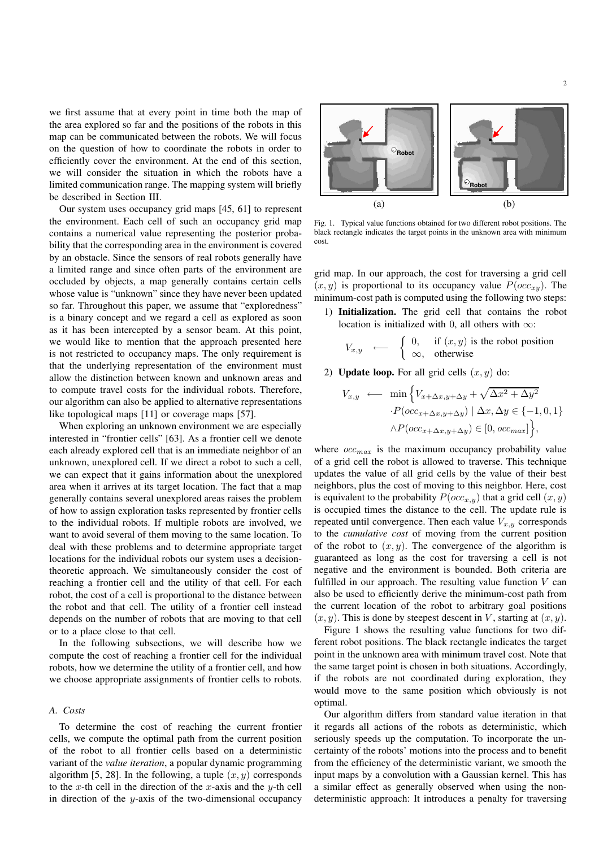we first assume that at every point in time both the map of the area explored so far and the positions of the robots in this map can be communicated between the robots. We will focus on the question of how to coordinate the robots in order to efficiently cover the environment. At the end of this section, we will consider the situation in which the robots have a limited communication range. The mapping system will briefly be described in Section III.

Our system uses occupancy grid maps [45, 61] to represent the environment. Each cell of such an occupancy grid map contains a numerical value representing the posterior probability that the corresponding area in the environment is covered by an obstacle. Since the sensors of real robots generally have a limited range and since often parts of the environment are occluded by objects, a map generally contains certain cells whose value is "unknown" since they have never been updated so far. Throughout this paper, we assume that "exploredness" is a binary concept and we regard a cell as explored as soon as it has been intercepted by a sensor beam. At this point, we would like to mention that the approach presented here is not restricted to occupancy maps. The only requirement is that the underlying representation of the environment must allow the distinction between known and unknown areas and to compute travel costs for the individual robots. Therefore, our algorithm can also be applied to alternative representations like topological maps [11] or coverage maps [57].

When exploring an unknown environment we are especially interested in "frontier cells" [63]. As a frontier cell we denote each already explored cell that is an immediate neighbor of an unknown, unexplored cell. If we direct a robot to such a cell, we can expect that it gains information about the unexplored area when it arrives at its target location. The fact that a map generally contains several unexplored areas raises the problem of how to assign exploration tasks represented by frontier cells to the individual robots. If multiple robots are involved, we want to avoid several of them moving to the same location. To deal with these problems and to determine appropriate target locations for the individual robots our system uses a decisiontheoretic approach. We simultaneously consider the cost of reaching a frontier cell and the utility of that cell. For each robot, the cost of a cell is proportional to the distance between the robot and that cell. The utility of a frontier cell instead depends on the number of robots that are moving to that cell or to a place close to that cell.

In the following subsections, we will describe how we compute the cost of reaching a frontier cell for the individual robots, how we determine the utility of a frontier cell, and how we choose appropriate assignments of frontier cells to robots.

## *A. Costs*

To determine the cost of reaching the current frontier cells, we compute the optimal path from the current position of the robot to all frontier cells based on a deterministic variant of the *value iteration*, a popular dynamic programming algorithm [5, 28]. In the following, a tuple  $(x, y)$  corresponds to the x-th cell in the direction of the x-axis and the y-th cell in direction of the  $y$ -axis of the two-dimensional occupancy



Fig. 1. Typical value functions obtained for two different robot positions. The black rectangle indicates the target points in the unknown area with minimum cost.

grid map. In our approach, the cost for traversing a grid cell  $(x, y)$  is proportional to its occupancy value  $P(occ_{x,y})$ . The minimum-cost path is computed using the following two steps:

1) **Initialization.** The grid cell that contains the robot location is initialized with 0, all others with  $\infty$ :

$$
V_{x,y} \longleftarrow \begin{cases} 0, & \text{if } (x,y) \text{ is the robot position} \\ \infty, & \text{otherwise} \end{cases}
$$

2) **Update loop.** For all grid cells  $(x, y)$  do:

$$
V_{x,y} \longleftarrow \min \left\{ V_{x+\Delta x,y+\Delta y} + \sqrt{\Delta x^2 + \Delta y^2} \right\}.
$$

$$
\cdot P(occ_{x+\Delta x,y+\Delta y}) \mid \Delta x, \Delta y \in \{-1, 0, 1\}
$$

$$
\wedge P(occ_{x+\Delta x,y+\Delta y}) \in [0, occ_{max}] \left\},
$$

where  $\operatorname{occ}_{max}$  is the maximum occupancy probability value of a grid cell the robot is allowed to traverse. This technique updates the value of all grid cells by the value of their best neighbors, plus the cost of moving to this neighbor. Here, cost is equivalent to the probability  $P({\mathit{occ}}_{x,y})$  that a grid cell  $(x,y)$ is occupied times the distance to the cell. The update rule is repeated until convergence. Then each value  $V_{x,y}$  corresponds to the *cumulative cost* of moving from the current position of the robot to  $(x, y)$ . The convergence of the algorithm is guaranteed as long as the cost for traversing a cell is not negative and the environment is bounded. Both criteria are fulfilled in our approach. The resulting value function  $V$  can also be used to efficiently derive the minimum-cost path from the current location of the robot to arbitrary goal positions  $(x, y)$ . This is done by steepest descent in V, starting at  $(x, y)$ .

Figure 1 shows the resulting value functions for two different robot positions. The black rectangle indicates the target point in the unknown area with minimum travel cost. Note that the same target point is chosen in both situations. Accordingly, if the robots are not coordinated during exploration, they would move to the same position which obviously is not optimal.

Our algorithm differs from standard value iteration in that it regards all actions of the robots as deterministic, which seriously speeds up the computation. To incorporate the uncertainty of the robots' motions into the process and to benefit from the efficiency of the deterministic variant, we smooth the input maps by a convolution with a Gaussian kernel. This has a similar effect as generally observed when using the nondeterministic approach: It introduces a penalty for traversing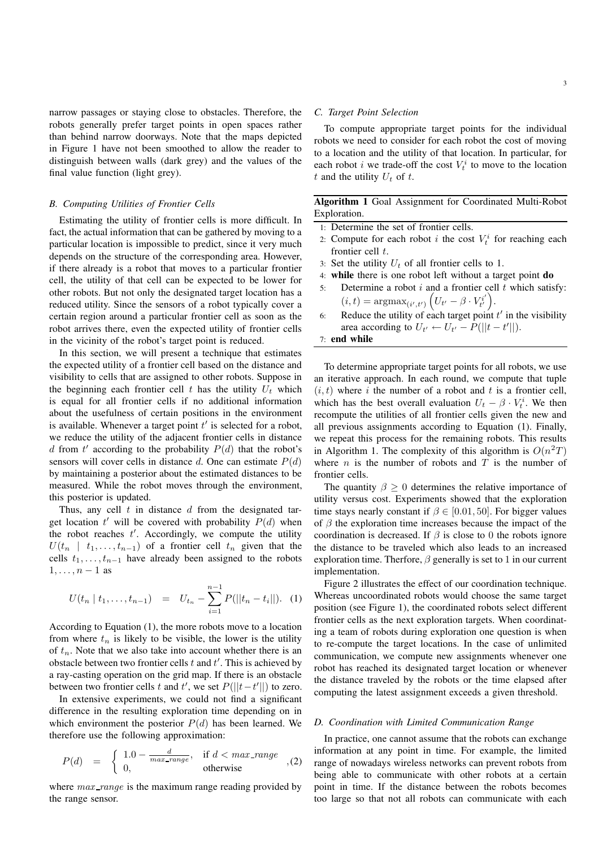narrow passages or staying close to obstacles. Therefore, the robots generally prefer target points in open spaces rather than behind narrow doorways. Note that the maps depicted in Figure 1 have not been smoothed to allow the reader to distinguish between walls (dark grey) and the values of the final value function (light grey).

#### *B. Computing Utilities of Frontier Cells*

Estimating the utility of frontier cells is more difficult. In fact, the actual information that can be gathered by moving to a particular location is impossible to predict, since it very much depends on the structure of the corresponding area. However, if there already is a robot that moves to a particular frontier cell, the utility of that cell can be expected to be lower for other robots. But not only the designated target location has a reduced utility. Since the sensors of a robot typically cover a certain region around a particular frontier cell as soon as the robot arrives there, even the expected utility of frontier cells in the vicinity of the robot's target point is reduced.

In this section, we will present a technique that estimates the expected utility of a frontier cell based on the distance and visibility to cells that are assigned to other robots. Suppose in the beginning each frontier cell  $t$  has the utility  $U_t$  which is equal for all frontier cells if no additional information about the usefulness of certain positions in the environment is available. Whenever a target point  $t'$  is selected for a robot, we reduce the utility of the adjacent frontier cells in distance d from  $t'$  according to the probability  $P(d)$  that the robot's sensors will cover cells in distance d. One can estimate  $P(d)$ by maintaining a posterior about the estimated distances to be measured. While the robot moves through the environment, this posterior is updated.

Thus, any cell  $t$  in distance  $d$  from the designated target location  $t'$  will be covered with probability  $P(d)$  when the robot reaches  $t'$ . Accordingly, we compute the utility  $U(t_n \mid t_1, \ldots, t_{n-1})$  of a frontier cell  $t_n$  given that the cells  $t_1, \ldots, t_{n-1}$  have already been assigned to the robots  $1, \ldots, n-1$  as

$$
U(t_n \mid t_1, \ldots, t_{n-1}) = U_{t_n} - \sum_{i=1}^{n-1} P(||t_n - t_i||). \quad (1)
$$

According to Equation (1), the more robots move to a location from where  $t_n$  is likely to be visible, the lower is the utility of  $t_n$ . Note that we also take into account whether there is an obstacle between two frontier cells  $t$  and  $t'$ . This is achieved by a ray-casting operation on the grid map. If there is an obstacle between two frontier cells t and t', we set  $P(||t-t'||)$  to zero.

In extensive experiments, we could not find a significant difference in the resulting exploration time depending on in which environment the posterior  $P(d)$  has been learned. We therefore use the following approximation:

$$
P(d) = \begin{cases} 1.0 - \frac{d}{\max\_range}, & \text{if } d < \max\_range \\ 0, & \text{otherwise} \end{cases} \tag{2}
$$

where *max\_range* is the maximum range reading provided by the range sensor.

## *C. Target Point Selection*

To compute appropriate target points for the individual robots we need to consider for each robot the cost of moving to a location and the utility of that location. In particular, for each robot *i* we trade-off the cost  $V_t^i$  to move to the location t and the utility  $U_t$  of t.

## **Algorithm 1** Goal Assignment for Coordinated Multi-Robot Exploration.

- 1: Determine the set of frontier cells.
- 2: Compute for each robot *i* the cost  $V_t^i$  for reaching each frontier cell  $t$ .
- 3: Set the utility  $U_t$  of all frontier cells to 1.
- 4: **while** there is one robot left without a target point **do**
- 5: Determine a robot  $i$  and a frontier cell  $t$  which satisfy:  $(i, t) = \mathrm{argmax}_{(i', t')} (U_{t'} - \beta \cdot V_{t'}^{i'})$ .
- 6: Reduce the utility of each target point  $t'$  in the visibility area according to  $U_{t'} \leftarrow U_{t'} - P(||t - t'||)$ .

## 7: **end while**

To determine appropriate target points for all robots, we use an iterative approach. In each round, we compute that tuple  $(i, t)$  where i the number of a robot and t is a frontier cell, which has the best overall evaluation  $U_t - \beta \cdot V_t^i$ . We then recompute the utilities of all frontier cells given the new and all previous assignments according to Equation (1). Finally, we repeat this process for the remaining robots. This results in Algorithm 1. The complexity of this algorithm is  $O(n^2T)$ where  $n$  is the number of robots and  $T$  is the number of frontier cells.

The quantity  $\beta \geq 0$  determines the relative importance of utility versus cost. Experiments showed that the exploration time stays nearly constant if  $\beta \in [0.01, 50]$ . For bigger values of  $\beta$  the exploration time increases because the impact of the coordination is decreased. If  $\beta$  is close to 0 the robots ignore the distance to be traveled which also leads to an increased exploration time. Therfore,  $\beta$  generally is set to 1 in our current implementation.

Figure 2 illustrates the effect of our coordination technique. Whereas uncoordinated robots would choose the same target position (see Figure 1), the coordinated robots select different frontier cells as the next exploration targets. When coordinating a team of robots during exploration one question is when to re-compute the target locations. In the case of unlimited communication, we compute new assignments whenever one robot has reached its designated target location or whenever the distance traveled by the robots or the time elapsed after computing the latest assignment exceeds a given threshold.

#### *D. Coordination with Limited Communication Range*

In practice, one cannot assume that the robots can exchange information at any point in time. For example, the limited range of nowadays wireless networks can prevent robots from being able to communicate with other robots at a certain point in time. If the distance between the robots becomes too large so that not all robots can communicate with each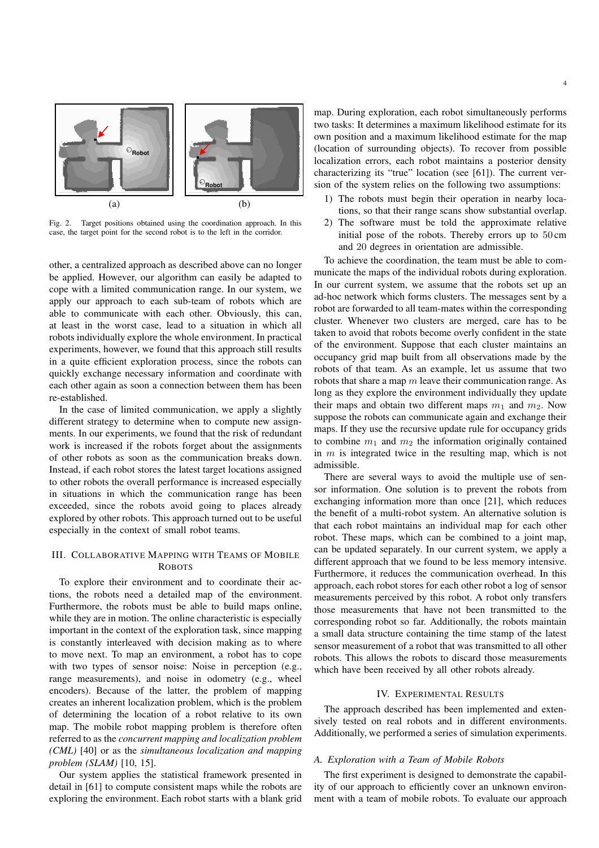

Fig. 2. Target positions obtained using the coordination approach. In this case, the target point for the second robot is to the left in the corridor.

other, a centralized approach as described above can no longer be applied. However, our algorithm can easily be adapted to cope with a limited communication range. In our system, we apply our approach to each sub-team of robots which are able to communicate with each other. Obviously, this can, at least in the worst case, lead to a situation in which all robots individually explore the whole environment. In practical experiments, however, we found that this approach still results in a quite efficient exploration process, since the robots can quickly exchange necessary information and coordinate with each other again as soon a connection between them has been re-established.

In the case of limited communication, we apply a slightly different strategy to determine when to compute new assignments. In our experiments, we found that the risk of redundant work is increased if the robots forget about the assignments of other robots as soon as the communication breaks down. Instead, if each robot stores the latest target locations assigned to other robots the overall performance is increased especially in situations in which the communication range has been exceeded, since the robots avoid going to places already explored by other robots. This approach turned out to be useful especially in the context of small robot teams.

## III. COLLABORATIVE MAPPING WITH TEAMS OF MOBILE **ROBOTS**

To explore their environment and to coordinate their actions, the robots need a detailed map of the environment. Furthermore, the robots must be able to build maps online, while they are in motion. The online characteristic is especially important in the context of the exploration task, since mapping is constantly interleaved with decision making as to where to move next. To map an environment, a robot has to cope with two types of sensor noise: Noise in perception (e.g., range measurements), and noise in odometry (e.g., wheel encoders). Because of the latter, the problem of mapping creates an inherent localization problem, which is the problem of determining the location of a robot relative to its own map. The mobile robot mapping problem is therefore often referred to as the *concurrent mapping and localization problem (CML)* [40] or as the *simultaneous localization and mapping problem (SLAM)* [10, 15].

Our system applies the statistical framework presented in detail in [61] to compute consistent maps while the robots are exploring the environment. Each robot starts with a blank grid

map. During exploration, each robot simultaneously performs two tasks: It determines a maximum likelihood estimate for its own position and a maximum likelihood estimate for the map (location of surrounding objects). To recover from possible localization errors, each robot maintains a posterior density characterizing its "true" location (see [61]). The current version of the system relies on the following two assumptions:

- 1) The robots must begin their operation in nearby locations, so that their range scans show substantial overlap.
- 2) The software must be told the approximate relative initial pose of the robots. Thereby errors up to 50 cm and 20 degrees in orientation are admissible.

To achieve the coordination, the team must be able to communicate the maps of the individual robots during exploration. In our current system, we assume that the robots set up an ad-hoc network which forms clusters. The messages sent by a robot are forwarded to all team-mates within the corresponding cluster. Whenever two clusters are merged, care has to be taken to avoid that robots become overly confident in the state of the environment. Suppose that each cluster maintains an occupancy grid map built from all observations made by the robots of that team. As an example, let us assume that two robots that share a map  $m$  leave their communication range. As long as they explore the environment individually they update their maps and obtain two different maps  $m_1$  and  $m_2$ . Now suppose the robots can communicate again and exchange their maps. If they use the recursive update rule for occupancy grids to combine  $m_1$  and  $m_2$  the information originally contained in  $m$  is integrated twice in the resulting map, which is not admissible.

There are several ways to avoid the multiple use of sensor information. One solution is to prevent the robots from exchanging information more than once [21], which reduces the benefit of a multi-robot system. An alternative solution is that each robot maintains an individual map for each other robot. These maps, which can be combined to a joint map, can be updated separately. In our current system, we apply a different approach that we found to be less memory intensive. Furthermore, it reduces the communication overhead. In this approach, each robot stores for each other robot a log of sensor measurements perceived by this robot. A robot only transfers those measurements that have not been transmitted to the corresponding robot so far. Additionally, the robots maintain a small data structure containing the time stamp of the latest sensor measurement of a robot that was transmitted to all other robots. This allows the robots to discard those measurements which have been received by all other robots already.

#### IV. EXPERIMENTAL RESULTS

The approach described has been implemented and extensively tested on real robots and in different environments. Additionally, we performed a series of simulation experiments.

#### *A. Exploration with a Team of Mobile Robots*

The first experiment is designed to demonstrate the capability of our approach to efficiently cover an unknown environment with a team of mobile robots. To evaluate our approach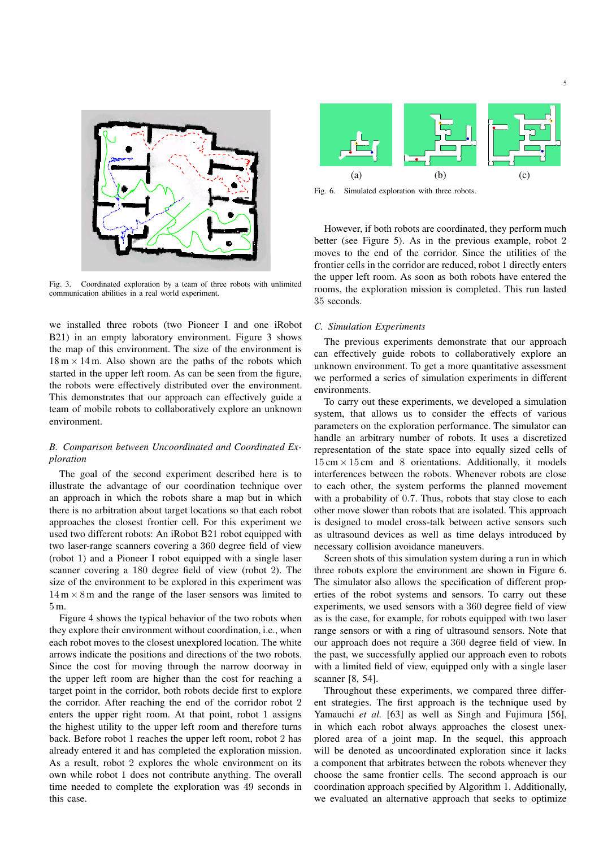

Fig. 3. Coordinated exploration by a team of three robots with unlimited communication abilities in a real world experiment.

we installed three robots (two Pioneer I and one iRobot B21) in an empty laboratory environment. Figure 3 shows the map of this environment. The size of the environment is  $18 \text{ m} \times 14 \text{ m}$ . Also shown are the paths of the robots which started in the upper left room. As can be seen from the figure, the robots were effectively distributed over the environment. This demonstrates that our approach can effectively guide a team of mobile robots to collaboratively explore an unknown environment.

## *B. Comparison between Uncoordinated and Coordinated Exploration*

The goal of the second experiment described here is to illustrate the advantage of our coordination technique over an approach in which the robots share a map but in which there is no arbitration about target locations so that each robot approaches the closest frontier cell. For this experiment we used two different robots: An iRobot B21 robot equipped with two laser-range scanners covering a 360 degree field of view (robot 1) and a Pioneer I robot equipped with a single laser scanner covering a 180 degree field of view (robot 2). The size of the environment to be explored in this experiment was  $14 \text{ m} \times 8 \text{ m}$  and the range of the laser sensors was limited to 5 m.

Figure 4 shows the typical behavior of the two robots when they explore their environment without coordination, i.e., when each robot moves to the closest unexplored location. The white arrows indicate the positions and directions of the two robots. Since the cost for moving through the narrow doorway in the upper left room are higher than the cost for reaching a target point in the corridor, both robots decide first to explore the corridor. After reaching the end of the corridor robot 2 enters the upper right room. At that point, robot 1 assigns the highest utility to the upper left room and therefore turns back. Before robot 1 reaches the upper left room, robot 2 has already entered it and has completed the exploration mission. As a result, robot 2 explores the whole environment on its own while robot 1 does not contribute anything. The overall time needed to complete the exploration was 49 seconds in this case.



Fig. 6. Simulated exploration with three robots.

However, if both robots are coordinated, they perform much better (see Figure 5). As in the previous example, robot 2 moves to the end of the corridor. Since the utilities of the frontier cells in the corridor are reduced, robot 1 directly enters the upper left room. As soon as both robots have entered the rooms, the exploration mission is completed. This run lasted 35 seconds.

## *C. Simulation Experiments*

The previous experiments demonstrate that our approach can effectively guide robots to collaboratively explore an unknown environment. To get a more quantitative assessment we performed a series of simulation experiments in different environments.

To carry out these experiments, we developed a simulation system, that allows us to consider the effects of various parameters on the exploration performance. The simulator can handle an arbitrary number of robots. It uses a discretized representation of the state space into equally sized cells of  $15 \text{ cm} \times 15 \text{ cm}$  and 8 orientations. Additionally, it models interferences between the robots. Whenever robots are close to each other, the system performs the planned movement with a probability of 0.7. Thus, robots that stay close to each other move slower than robots that are isolated. This approach is designed to model cross-talk between active sensors such as ultrasound devices as well as time delays introduced by necessary collision avoidance maneuvers.

Screen shots of this simulation system during a run in which three robots explore the environment are shown in Figure 6. The simulator also allows the specification of different properties of the robot systems and sensors. To carry out these experiments, we used sensors with a 360 degree field of view as is the case, for example, for robots equipped with two laser range sensors or with a ring of ultrasound sensors. Note that our approach does not require a 360 degree field of view. In the past, we successfully applied our approach even to robots with a limited field of view, equipped only with a single laser scanner [8, 54].

Throughout these experiments, we compared three different strategies. The first approach is the technique used by Yamauchi *et al.* [63] as well as Singh and Fujimura [56], in which each robot always approaches the closest unexplored area of a joint map. In the sequel, this approach will be denoted as uncoordinated exploration since it lacks a component that arbitrates between the robots whenever they choose the same frontier cells. The second approach is our coordination approach specified by Algorithm 1. Additionally, we evaluated an alternative approach that seeks to optimize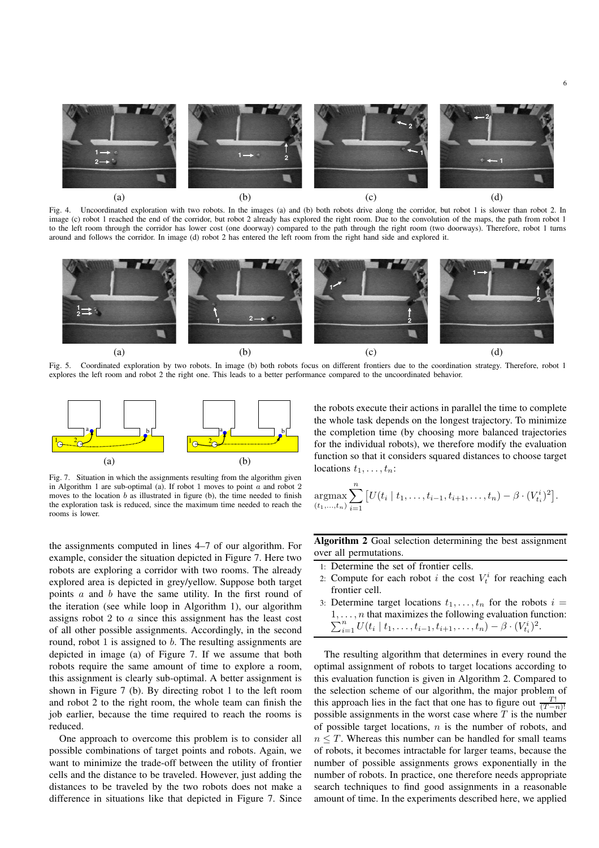

Fig. 4. Uncoordinated exploration with two robots. In the images (a) and (b) both robots drive along the corridor, but robot 1 is slower than robot 2. In image (c) robot 1 reached the end of the corridor, but robot 2 already has explored the right room. Due to the convolution of the maps, the path from robot 1 to the left room through the corridor has lower cost (one doorway) compared to the path through the right room (two doorways). Therefore, robot 1 turns around and follows the corridor. In image (d) robot 2 has entered the left room from the right hand side and explored it.



Fig. 5. Coordinated exploration by two robots. In image (b) both robots focus on different frontiers due to the coordination strategy. Therefore, robot 1 explores the left room and robot 2 the right one. This leads to a better performance compared to the uncoordinated behavior.



Fig. 7. Situation in which the assignments resulting from the algorithm given in Algorithm 1 are sub-optimal (a). If robot 1 moves to point  $\alpha$  and robot 2 moves to the location  $b$  as illustrated in figure (b), the time needed to finish the exploration task is reduced, since the maximum time needed to reach the rooms is lower.

the assignments computed in lines 4–7 of our algorithm. For example, consider the situation depicted in Figure 7. Here two robots are exploring a corridor with two rooms. The already explored area is depicted in grey/yellow. Suppose both target points a and b have the same utility. In the first round of the iteration (see while loop in Algorithm 1), our algorithm assigns robot 2 to a since this assignment has the least cost of all other possible assignments. Accordingly, in the second round, robot 1 is assigned to b. The resulting assignments are depicted in image (a) of Figure 7. If we assume that both robots require the same amount of time to explore a room, this assignment is clearly sub-optimal. A better assignment is shown in Figure 7 (b). By directing robot 1 to the left room and robot 2 to the right room, the whole team can finish the job earlier, because the time required to reach the rooms is reduced.

One approach to overcome this problem is to consider all possible combinations of target points and robots. Again, we want to minimize the trade-off between the utility of frontier cells and the distance to be traveled. However, just adding the distances to be traveled by the two robots does not make a difference in situations like that depicted in Figure 7. Since

the robots execute their actions in parallel the time to complete the whole task depends on the longest trajectory. To minimize the completion time (by choosing more balanced trajectories for the individual robots), we therefore modify the evaluation function so that it considers squared distances to choose target locations  $t_1, \ldots, t_n$ :

$$
\underset{(t_1,\ldots,t_n)}{\text{argmax}} \sum_{i=1}^n \big[ U(t_i \mid t_1,\ldots,t_{i-1},t_{i+1},\ldots,t_n) - \beta \cdot (V_{t_i}^i)^2 \big].
$$

**Algorithm 2** Goal selection determining the best assignment over all permutations.

- 1: Determine the set of frontier cells.
- 2: Compute for each robot *i* the cost  $V_t^i$  for reaching each frontier cell.
- 3: Determine target locations  $t_1, \ldots, t_n$  for the robots  $i =$  $\sum$ 1, ..., *n* that maximizes the following evaluation function:<br> $\sum_{i=1}^{n} U(t_i | t_1, \ldots, t_{i-1}, t_{i+1}, \ldots, t_n) - \beta \cdot (V_{t_i}^i)^2$ .

The resulting algorithm that determines in every round the optimal assignment of robots to target locations according to this evaluation function is given in Algorithm 2. Compared to the selection scheme of our algorithm, the major problem of this approach lies in the fact that one has to figure out  $\frac{T!}{(T-n)!}$ possible assignments in the worst case where  $T$  is the number of possible target locations,  $n$  is the number of robots, and  $n \leq T$ . Whereas this number can be handled for small teams of robots, it becomes intractable for larger teams, because the number of possible assignments grows exponentially in the number of robots. In practice, one therefore needs appropriate search techniques to find good assignments in a reasonable amount of time. In the experiments described here, we applied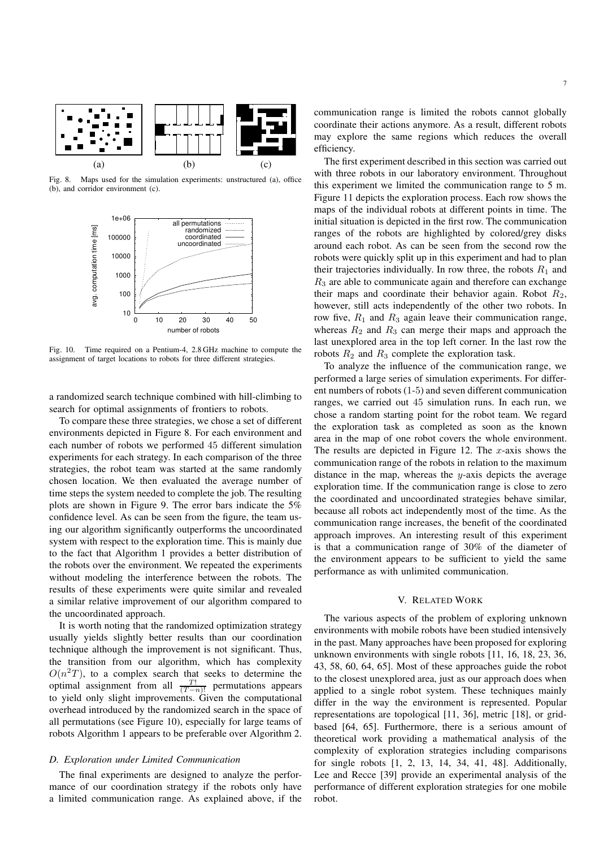

Fig. 8. Maps used for the simulation experiments: unstructured (a), office (b), and corridor environment (c).



Fig. 10. Time required on a Pentium-4, 2.8 GHz machine to compute the assignment of target locations to robots for three different strategies.

a randomized search technique combined with hill-climbing to search for optimal assignments of frontiers to robots.

To compare these three strategies, we chose a set of different environments depicted in Figure 8. For each environment and each number of robots we performed 45 different simulation experiments for each strategy. In each comparison of the three strategies, the robot team was started at the same randomly chosen location. We then evaluated the average number of time steps the system needed to complete the job. The resulting plots are shown in Figure 9. The error bars indicate the 5% confidence level. As can be seen from the figure, the team using our algorithm significantly outperforms the uncoordinated system with respect to the exploration time. This is mainly due to the fact that Algorithm 1 provides a better distribution of the robots over the environment. We repeated the experiments without modeling the interference between the robots. The results of these experiments were quite similar and revealed a similar relative improvement of our algorithm compared to the uncoordinated approach.

It is worth noting that the randomized optimization strategy usually yields slightly better results than our coordination technique although the improvement is not significant. Thus, the transition from our algorithm, which has complexity  $O(n^2T)$ , to a complex search that seeks to determine the optimal assignment from all  $\frac{T!}{(T-n)!}$  permutations appears to yield only slight improvements. Given the computational overhead introduced by the randomized search in the space of all permutations (see Figure 10), especially for large teams of robots Algorithm 1 appears to be preferable over Algorithm 2.

#### *D. Exploration under Limited Communication*

The final experiments are designed to analyze the performance of our coordination strategy if the robots only have a limited communication range. As explained above, if the communication range is limited the robots cannot globally coordinate their actions anymore. As a result, different robots may explore the same regions which reduces the overall efficiency.

The first experiment described in this section was carried out with three robots in our laboratory environment. Throughout this experiment we limited the communication range to 5 m. Figure 11 depicts the exploration process. Each row shows the maps of the individual robots at different points in time. The initial situation is depicted in the first row. The communication ranges of the robots are highlighted by colored/grey disks around each robot. As can be seen from the second row the robots were quickly split up in this experiment and had to plan their trajectories individually. In row three, the robots  $R_1$  and  $R<sub>3</sub>$  are able to communicate again and therefore can exchange their maps and coordinate their behavior again. Robot  $R_2$ , however, still acts independently of the other two robots. In row five,  $R_1$  and  $R_3$  again leave their communication range, whereas  $R_2$  and  $R_3$  can merge their maps and approach the last unexplored area in the top left corner. In the last row the robots  $R_2$  and  $R_3$  complete the exploration task.

To analyze the influence of the communication range, we performed a large series of simulation experiments. For different numbers of robots (1-5) and seven different communication ranges, we carried out 45 simulation runs. In each run, we chose a random starting point for the robot team. We regard the exploration task as completed as soon as the known area in the map of one robot covers the whole environment. The results are depicted in Figure 12. The  $x$ -axis shows the communication range of the robots in relation to the maximum distance in the map, whereas the  $y$ -axis depicts the average exploration time. If the communication range is close to zero the coordinated and uncoordinated strategies behave similar, because all robots act independently most of the time. As the communication range increases, the benefit of the coordinated approach improves. An interesting result of this experiment is that a communication range of 30% of the diameter of the environment appears to be sufficient to yield the same performance as with unlimited communication.

## V. RELATED WORK

The various aspects of the problem of exploring unknown environments with mobile robots have been studied intensively in the past. Many approaches have been proposed for exploring unknown environments with single robots [11, 16, 18, 23, 36, 43, 58, 60, 64, 65]. Most of these approaches guide the robot to the closest unexplored area, just as our approach does when applied to a single robot system. These techniques mainly differ in the way the environment is represented. Popular representations are topological [11, 36], metric [18], or gridbased [64, 65]. Furthermore, there is a serious amount of theoretical work providing a mathematical analysis of the complexity of exploration strategies including comparisons for single robots [1, 2, 13, 14, 34, 41, 48]. Additionally, Lee and Recce [39] provide an experimental analysis of the performance of different exploration strategies for one mobile robot.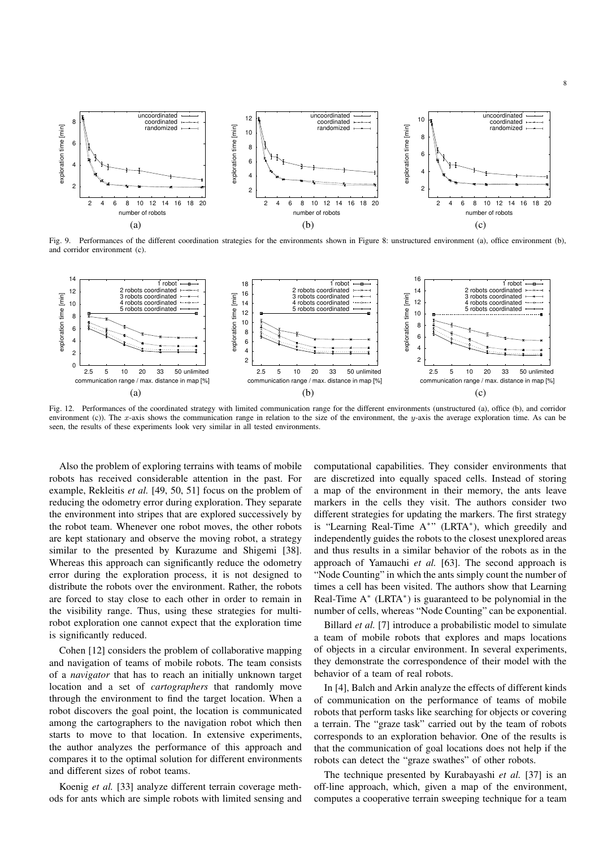

Fig. 9. Performances of the different coordination strategies for the environments shown in Figure 8: unstructured environment (a), office environment (b), and corridor environment (c).



Fig. 12. Performances of the coordinated strategy with limited communication range for the different environments (unstructured (a), office (b), and corridor environment (c)). The x-axis shows the communication range in relation to the size of the environment, the y-axis the average exploration time. As can be seen, the results of these experiments look very similar in all tested environments.

Also the problem of exploring terrains with teams of mobile robots has received considerable attention in the past. For example, Rekleitis *et al.* [49, 50, 51] focus on the problem of reducing the odometry error during exploration. They separate the environment into stripes that are explored successively by the robot team. Whenever one robot moves, the other robots are kept stationary and observe the moving robot, a strategy similar to the presented by Kurazume and Shigemi [38]. Whereas this approach can significantly reduce the odometry error during the exploration process, it is not designed to distribute the robots over the environment. Rather, the robots are forced to stay close to each other in order to remain in the visibility range. Thus, using these strategies for multirobot exploration one cannot expect that the exploration time is significantly reduced.

Cohen [12] considers the problem of collaborative mapping and navigation of teams of mobile robots. The team consists of a *navigator* that has to reach an initially unknown target location and a set of *cartographers* that randomly move through the environment to find the target location. When a robot discovers the goal point, the location is communicated among the cartographers to the navigation robot which then starts to move to that location. In extensive experiments, the author analyzes the performance of this approach and compares it to the optimal solution for different environments and different sizes of robot teams.

Koenig *et al.* [33] analyze different terrain coverage methods for ants which are simple robots with limited sensing and computational capabilities. They consider environments that are discretized into equally spaced cells. Instead of storing a map of the environment in their memory, the ants leave markers in the cells they visit. The authors consider two different strategies for updating the markers. The first strategy is "Learning Real-Time A\*" (LRTA\*), which greedily and independently guides the robots to the closest unexplored areas and thus results in a similar behavior of the robots as in the approach of Yamauchi *et al.* [63]. The second approach is "Node Counting" in which the ants simply count the number of times a cell has been visited. The authors show that Learning Real-Time  $A^*$  (LRTA<sup>\*</sup>) is guaranteed to be polynomial in the number of cells, whereas "Node Counting" can be exponential.

Billard *et al.* [7] introduce a probabilistic model to simulate a team of mobile robots that explores and maps locations of objects in a circular environment. In several experiments, they demonstrate the correspondence of their model with the behavior of a team of real robots.

In [4], Balch and Arkin analyze the effects of different kinds of communication on the performance of teams of mobile robots that perform tasks like searching for objects or covering a terrain. The "graze task" carried out by the team of robots corresponds to an exploration behavior. One of the results is that the communication of goal locations does not help if the robots can detect the "graze swathes" of other robots.

The technique presented by Kurabayashi *et al.* [37] is an off-line approach, which, given a map of the environment, computes a cooperative terrain sweeping technique for a team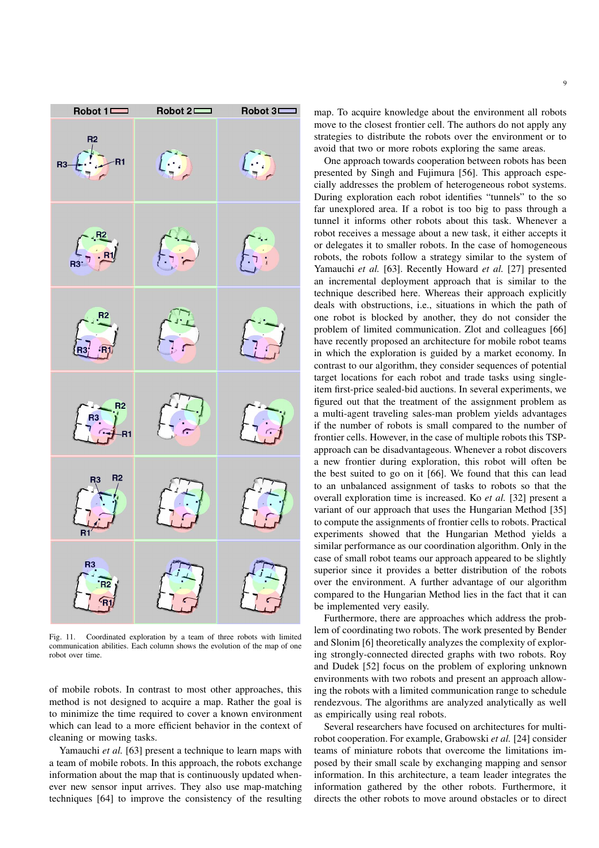

Fig. 11. Coordinated exploration by a team of three robots with limited communication abilities. Each column shows the evolution of the map of one robot over time.

of mobile robots. In contrast to most other approaches, this method is not designed to acquire a map. Rather the goal is to minimize the time required to cover a known environment which can lead to a more efficient behavior in the context of cleaning or mowing tasks.

Yamauchi *et al.* [63] present a technique to learn maps with a team of mobile robots. In this approach, the robots exchange information about the map that is continuously updated whenever new sensor input arrives. They also use map-matching techniques [64] to improve the consistency of the resulting map. To acquire knowledge about the environment all robots move to the closest frontier cell. The authors do not apply any strategies to distribute the robots over the environment or to avoid that two or more robots exploring the same areas.

One approach towards cooperation between robots has been presented by Singh and Fujimura [56]. This approach especially addresses the problem of heterogeneous robot systems. During exploration each robot identifies "tunnels" to the so far unexplored area. If a robot is too big to pass through a tunnel it informs other robots about this task. Whenever a robot receives a message about a new task, it either accepts it or delegates it to smaller robots. In the case of homogeneous robots, the robots follow a strategy similar to the system of Yamauchi *et al.* [63]. Recently Howard *et al.* [27] presented an incremental deployment approach that is similar to the technique described here. Whereas their approach explicitly deals with obstructions, i.e., situations in which the path of one robot is blocked by another, they do not consider the problem of limited communication. Zlot and colleagues [66] have recently proposed an architecture for mobile robot teams in which the exploration is guided by a market economy. In contrast to our algorithm, they consider sequences of potential target locations for each robot and trade tasks using singleitem first-price sealed-bid auctions. In several experiments, we figured out that the treatment of the assignment problem as a multi-agent traveling sales-man problem yields advantages if the number of robots is small compared to the number of frontier cells. However, in the case of multiple robots this TSPapproach can be disadvantageous. Whenever a robot discovers a new frontier during exploration, this robot will often be the best suited to go on it [66]. We found that this can lead to an unbalanced assignment of tasks to robots so that the overall exploration time is increased. Ko *et al.* [32] present a variant of our approach that uses the Hungarian Method [35] to compute the assignments of frontier cells to robots. Practical experiments showed that the Hungarian Method yields a similar performance as our coordination algorithm. Only in the case of small robot teams our approach appeared to be slightly superior since it provides a better distribution of the robots over the environment. A further advantage of our algorithm compared to the Hungarian Method lies in the fact that it can be implemented very easily.

Furthermore, there are approaches which address the problem of coordinating two robots. The work presented by Bender and Slonim [6] theoretically analyzes the complexity of exploring strongly-connected directed graphs with two robots. Roy and Dudek [52] focus on the problem of exploring unknown environments with two robots and present an approach allowing the robots with a limited communication range to schedule rendezvous. The algorithms are analyzed analytically as well as empirically using real robots.

Several researchers have focused on architectures for multirobot cooperation. For example, Grabowski *et al.* [24] consider teams of miniature robots that overcome the limitations imposed by their small scale by exchanging mapping and sensor information. In this architecture, a team leader integrates the information gathered by the other robots. Furthermore, it directs the other robots to move around obstacles or to direct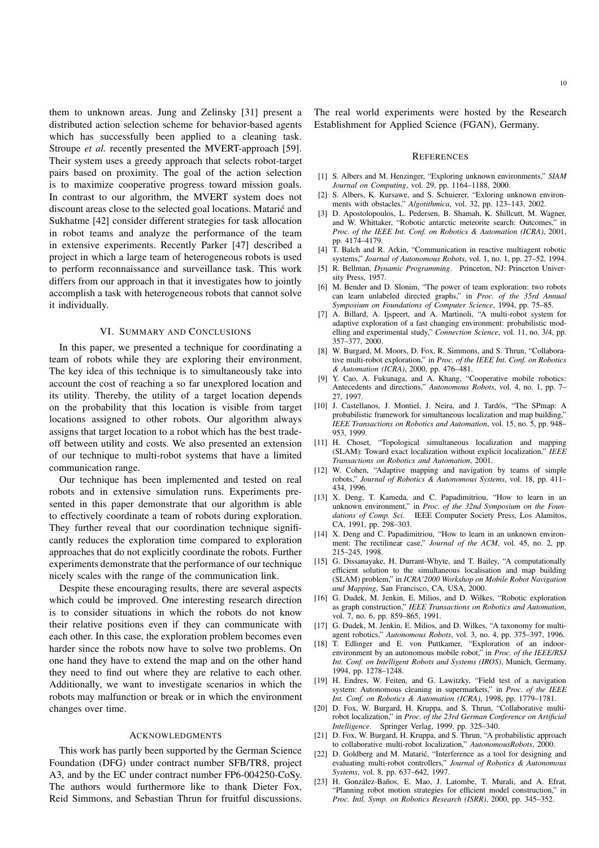them to unknown areas. Jung and Zelinsky [31] present a distributed action selection scheme for behavior-based agents which has successfully been applied to a cleaning task. Stroupe *et al.* recently presented the MVERT-approach [59]. Their system uses a greedy approach that selects robot-target pairs based on proximity. The goal of the action selection is to maximize cooperative progress toward mission goals. In contrast to our algorithm, the MVERT system does not discount areas close to the selected goal locations. Matarić and Sukhatme [42] consider different strategies for task allocation in robot teams and analyze the performance of the team in extensive experiments. Recently Parker [47] described a project in which a large team of heterogeneous robots is used to perform reconnaissance and surveillance task. This work differs from our approach in that it investigates how to jointly accomplish a task with heterogeneous robots that cannot solve it individually.

## VI. SUMMARY AND CONCLUSIONS

In this paper, we presented a technique for coordinating a team of robots while they are exploring their environment. The key idea of this technique is to simultaneously take into account the cost of reaching a so far unexplored location and its utility. Thereby, the utility of a target location depends on the probability that this location is visible from target locations assigned to other robots. Our algorithm always assigns that target location to a robot which has the best tradeoff between utility and costs. We also presented an extension of our technique to multi-robot systems that have a limited communication range.

Our technique has been implemented and tested on real robots and in extensive simulation runs. Experiments presented in this paper demonstrate that our algorithm is able to effectively coordinate a team of robots during exploration. They further reveal that our coordination technique significantly reduces the exploration time compared to exploration approaches that do not explicitly coordinate the robots. Further experiments demonstrate that the performance of our technique nicely scales with the range of the communication link.

Despite these encouraging results, there are several aspects which could be improved. One interesting research direction is to consider situations in which the robots do not know their relative positions even if they can communicate with each other. In this case, the exploration problem becomes even harder since the robots now have to solve two problems. On one hand they have to extend the map and on the other hand they need to find out where they are relative to each other. Additionally, we want to investigate scenarios in which the robots may malfunction or break or in which the environment changes over time.

#### **ACKNOWLEDGMENTS**

This work has partly been supported by the German Science Foundation (DFG) under contract number SFB/TR8, project A3, and by the EC under contract number FP6-004250-CoSy. The authors would furthermore like to thank Dieter Fox, Reid Simmons, and Sebastian Thrun for fruitful discussions.

The real world experiments were hosted by the Research Establishment for Applied Science (FGAN), Germany.

#### **REFERENCES**

- [1] S. Albers and M. Henzinger, "Exploring unknown environments," *SIAM Journal on Computing*, vol. 29, pp. 1164–1188, 2000.
- [2] S. Albers, K. Kursawe, and S. Schuierer, "Exloring unknown environments with obstacles," *Algotithmica*, vol. 32, pp. 123–143, 2002.
- [3] D. Apostolopoulos, L. Pedersen, B. Shamah, K. Shillcutt, M. Wagner, and W. Whittaker, "Robotic antarctic meteorite search: Outcomes," in *Proc. of the IEEE Int. Conf. on Robotics & Automation (ICRA)*, 2001, pp. 4174–4179.
- [4] T. Balch and R. Arkin, "Communication in reactive multiagent robotic systems," *Journal of Autonomous Robots*, vol. 1, no. 1, pp. 27–52, 1994.
- [5] R. Bellman, *Dynamic Programming*. Princeton, NJ: Princeton University Press, 1957.
- [6] M. Bender and D. Slonim, "The power of team exploration: two robots can learn unlabeled directed graphs," in *Proc. of the 35rd Annual Symposium on Foundations of Computer Science*, 1994, pp. 75–85.
- [7] A. Billard, A. Ijspeert, and A. Martinoli, "A multi-robot system for adaptive exploration of a fast changing environment: probabilistic modelling and experimental study," *Connection Science*, vol. 11, no. 3/4, pp. 357–377, 2000.
- [8] W. Burgard, M. Moors, D. Fox, R. Simmons, and S. Thrun, "Collaborative multi-robot exploration," in *Proc. of the IEEE Int. Conf. on Robotics & Automation (ICRA)*, 2000, pp. 476–481.
- [9] Y. Cao, A. Fukunaga, and A. Khang, "Cooperative mobile robotics: Antecedents and directions," *Autonomous Robots*, vol. 4, no. 1, pp. 7– 27, 1997.
- [10] J. Castellanos, J. Montiel, J. Neira, and J. Tardós, "The SPmap: A probabilistic framework for simultaneous localization and map building," *IEEE Transactions on Robotics and Automation*, vol. 15, no. 5, pp. 948– 953, 1999.
- [11] H. Choset, "Topological simultaneous localization and mapping (SLAM): Toward exact localization without explicit localization," *IEEE Transactions on Robotics and Automation*, 2001.
- [12] W. Cohen, "Adaptive mapping and navigation by teams of simple robots," *Journal of Robotics & Autonomous Systems*, vol. 18, pp. 411– 434, 1996.
- [13] X. Deng, T. Kameda, and C. Papadimitriou, "How to learn in an unknown environment," in *Proc. of the 32nd Symposium on the Foundations of Comp. Sci.* IEEE Computer Society Press, Los Alamitos, CA, 1991, pp. 298–303.
- [14] X. Deng and C. Papadimitriou, "How to learn in an unknown environment: The rectilinear case," *Journal of the ACM*, vol. 45, no. 2, pp. 215–245, 1998.
- [15] G. Dissanayake, H. Durrant-Whyte, and T. Bailey, "A computationally efficient solution to the simultaneous localisation and map building (SLAM) problem," in *ICRA'2000 Workshop on Mobile Robot Navigation and Mapping*, San Francisco, CA, USA, 2000.
- [16] G. Dudek, M. Jenkin, E. Milios, and D. Wilkes, "Robotic exploration as graph construction," *IEEE Transactions on Robotics and Automation*, vol. 7, no. 6, pp. 859–865, 1991.
- [17] G. Dudek, M. Jenkin, E. Milios, and D. Wilkes, "A taxonomy for multiagent robotics," *Autonomous Robots*, vol. 3, no. 4, pp. 375–397, 1996.
- T. Edlinger and E. von Puttkamer, "Exploration of an indoorenvironment by an autonomous mobile robot," in *Proc. of the IEEE/RSJ Int. Conf. on Intelligent Robots and Systems (IROS)*, Munich, Germany, 1994, pp. 1278–1248.
- [19] H. Endres, W. Feiten, and G. Lawitzky, "Field test of a navigation system: Autonomous cleaning in supermarkets," in *Proc. of the IEEE Int. Conf. on Robotics & Automation (ICRA)*, 1998, pp. 1779–1781.
- [20] D. Fox, W. Burgard, H. Kruppa, and S. Thrun, "Collaborative multirobot localization," in *Proc. of the 23rd German Conference on Artificial Intelligence*. Springer Verlag, 1999, pp. 325–340.
- [21] D. Fox, W. Burgard, H. Kruppa, and S. Thrun, "A probabilistic approach to collaborative multi-robot localization," *AutonomousRobots*, 2000.
- [22] D. Goldberg and M. Matarić, "Interference as a tool for designing and evaluating multi-robot controllers," *Journal of Robotics & Autonomous Systems*, vol. 8, pp. 637–642, 1997.
- [23] H. González-Baños, E. Mao, J. Latombe, T. Murali, and A. Efrat, "Planning robot motion strategies for efficient model construction," in *Proc. Intl. Symp. on Robotics Research (ISRR)*, 2000, pp. 345–352.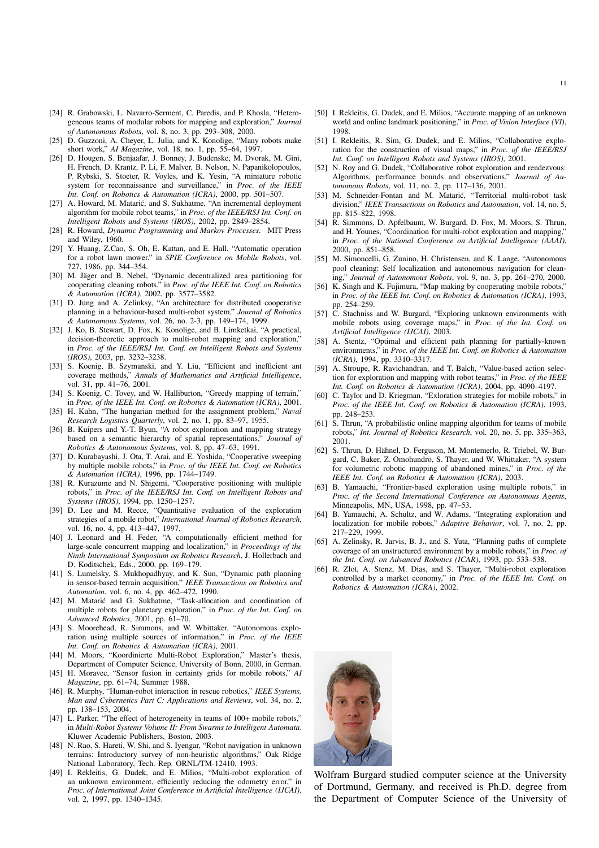- [24] R. Grabowski, L. Navarro-Serment, C. Paredis, and P. Khosla, "Heterogeneous teams of modular robots for mapping and exploration," *Journal of Autonomous Robots*, vol. 8, no. 3, pp. 293–308, 2000.
- [25] D. Guzzoni, A. Cheyer, L. Julia, and K. Konolige, "Many robots make short work," *AI Magazine*, vol. 18, no. 1, pp. 55–64, 1997.
- [26] D. Hougen, S. Benjaafar, J. Bonney, J. Budenske, M. Dvorak, M. Gini, H. French, D. Krantz, P. Li, F. Malver, B. Nelson, N. Papanikolopoulos, P. Rybski, S. Stoeter, R. Voyles, and K. Yesin, "A miniature robotic system for reconnaissance and surveillance," in *Proc. of the IEEE Int. Conf. on Robotics & Automation (ICRA)*, 2000, pp. 501–507.
- [27] A. Howard, M. Matarić, and S. Sukhatme, "An incremental deployment algorithm for mobile robot teams," in *Proc. of the IEEE/RSJ Int. Conf. on Intelligent Robots and Systems (IROS)*, 2002, pp. 2849–2854.
- [28] R. Howard, *Dynamic Programming and Markov Processes*. MIT Press and Wiley, 1960.
- [29] Y. Huang, Z.Cao, S. Oh, E. Kattan, and E. Hall, "Automatic operation for a robot lawn mower," in *SPIE Conference on Mobile Robots*, vol. 727, 1986, pp. 344–354.
- [30] M. Jäger and B. Nebel, "Dynamic decentralized area partitioning for cooperating cleaning robots," in *Proc. of the IEEE Int. Conf. on Robotics & Automation (ICRA)*, 2002, pp. 3577–3582.
- [31] D. Jung and A. Zelinksy, "An architecture for distributed cooperative planning in a behaviour-based multi-robot system," *Journal of Robotics & Autonomous Systems*, vol. 26, no. 2-3, pp. 149–174, 1999.
- [32] J. Ko, B. Stewart, D. Fox, K. Konolige, and B. Limketkai, "A practical, decision-theoretic approach to multi-robot mapping and exploration, in *Proc. of the IEEE/RSJ Int. Conf. on Intelligent Robots and Systems (IROS)*, 2003, pp. 3232–3238.
- [33] S. Koenig, B. Szymanski, and Y. Liu, "Efficient and inefficient ant coverage methods," *Annals of Mathematics and Artificial Intelligence*, vol. 31, pp. 41–76, 2001.
- [34] S. Koenig, C. Tovey, and W. Halliburton, "Greedy mapping of terrain," in *Proc. of the IEEE Int. Conf. on Robotics & Automation (ICRA)*, 2001.
- [35] H. Kuhn, "The hungarian method for the assignment problem," *Naval Research Logistics Quarterly*, vol. 2, no. 1, pp. 83–97, 1955.
- [36] B. Kuipers and Y.-T. Byun, "A robot exploration and mapping strategy based on a semantic hierarchy of spatial representations," *Journal of Robotics & Autonomous Systems*, vol. 8, pp. 47–63, 1991.
- [37] D. Kurabayashi, J. Ota, T. Arai, and E. Yoshida, "Cooperative sweeping by multiple mobile robots," in *Proc. of the IEEE Int. Conf. on Robotics & Automation (ICRA)*, 1996, pp. 1744–1749.
- [38] R. Kurazume and N. Shigemi, "Cooperative positioning with multiple robots," in *Proc. of the IEEE/RSJ Int. Conf. on Intelligent Robots and Systems (IROS)*, 1994, pp. 1250–1257.
- [39] D. Lee and M. Recce, "Quantitative evaluation of the exploration strategies of a mobile robot," *International Journal of Robotics Research*, vol. 16, no. 4, pp. 413–447, 1997.
- [40] J. Leonard and H. Feder, "A computationally efficient method for large-scale concurrent mapping and localization," in *Proceedings of the Ninth International Symposium on Robotics Research*, J. Hollerbach and D. Koditschek, Eds., 2000, pp. 169–179.
- [41] S. Lumelsky, S. Mukhopadhyay, and K. Sun, "Dynamic path planning in sensor-based terrain acquisition," *IEEE Transactions on Robotics and Automation*, vol. 6, no. 4, pp. 462–472, 1990.
- [42] M. Matarić and G. Sukhatme, "Task-allocation and coordination of multiple robots for planetary exploration," in *Proc. of the Int. Conf. on Advanced Robotics*, 2001, pp. 61–70.
- [43] S. Moorehead, R. Simmons, and W. Whittaker, "Autonomous exploration using multiple sources of information," in *Proc. of the IEEE Int. Conf. on Robotics & Automation (ICRA)*, 2001.
- [44] M. Moors, "Koordinierte Multi-Robot Exploration," Master's thesis, Department of Computer Science, University of Bonn, 2000, in German.
- [45] H. Moravec, "Sensor fusion in certainty grids for mobile robots," *AI Magazine*, pp. 61–74, Summer 1988.
- [46] R. Murphy, "Human-robot interaction in rescue robotics," *IEEE Systems, Man and Cybernetics Part C: Applications and Reviews*, vol. 34, no. 2, pp. 138–153, 2004.
- [47] L. Parker, "The effect of heterogeneity in teams of 100+ mobile robots," in *Multi-Robot Systems Volume II: From Swarms to Intelligent Automata*. Kluwer Academic Publishers, Boston, 2003.
- [48] N. Rao, S. Hareti, W. Shi, and S. Iyengar, "Robot navigation in unknown terrains: Introductory survey of non-heuristic algorithms," Oak Ridge National Laboratory, Tech. Rep. ORNL/TM-12410, 1993.
- [49] I. Rekleitis, G. Dudek, and E. Milios, "Multi-robot exploration of an unknown environment, efficiently reducing the odometry error," in *Proc. of International Joint Conference in Artificial Intelligence (IJCAI)*, vol. 2, 1997, pp. 1340–1345.
- [50] I. Rekleitis, G. Dudek, and E. Milios, "Accurate mapping of an unknown world and online landmark positioning," in *Proc. of Vision Interface (VI)*, 1998.
- [51] I. Rekleitis, R. Sim, G. Dudek, and E. Milios, "Collaborative exploration for the construction of visual maps," in *Proc. of the IEEE/RSJ Int. Conf. on Intelligent Robots and Systems (IROS)*, 2001.
- [52] N. Roy and G. Dudek, "Collaborative robot exploration and rendezvous: Algorithms, performance bounds and observations," *Journal of Autonomous Robots*, vol. 11, no. 2, pp. 117–136, 2001.
- [53] M. Schneider-Fontan and M. Matarić, "Territorial multi-robot task division," *IEEE Transactions on Robotics and Automation*, vol. 14, no. 5, pp. 815–822, 1998.
- [54] R. Simmons, D. Apfelbaum, W. Burgard, D. Fox, M. Moors, S. Thrun, and H. Younes, "Coordination for multi-robot exploration and mapping," in *Proc. of the National Conference on Artificial Intelligence (AAAI)*, 2000, pp. 851–858.
- [55] M. Simoncelli, G. Zunino, H. Christensen, and K. Lange, "Autonomous pool cleaning: Self localization and autonomous navigation for cleaning," *Journal of Autonomous Robots*, vol. 9, no. 3, pp. 261–270, 2000.
- [56] K. Singh and K. Fujimura, "Map making by cooperating mobile robots," in *Proc. of the IEEE Int. Conf. on Robotics & Automation (ICRA)*, 1993, pp. 254–259.
- [57] C. Stachniss and W. Burgard, "Exploring unknown environments with mobile robots using coverage maps," in *Proc. of the Int. Conf. on Artificial Intelligence (IJCAI)*, 2003.
- [58] A. Stentz, "Optimal and efficient path planning for partially-known environments," in *Proc. of the IEEE Int. Conf. on Robotics & Automation (ICRA)*, 1994, pp. 3310–3317.
- [59] A. Stroupe, R. Ravichandran, and T. Balch, "Value-based action selection for exploration and mapping with robot teams," in *Proc. of the IEEE Int. Conf. on Robotics & Automation (ICRA)*, 2004, pp. 4090–4197.
- [60] C. Taylor and D. Kriegman, "Exloration strategies for mobile robots," in *Proc. of the IEEE Int. Conf. on Robotics & Automation (ICRA)*, 1993, pp. 248–253.
- [61] S. Thrun, "A probabilistic online mapping algorithm for teams of mobile robots," *Int. Journal of Robotics Research*, vol. 20, no. 5, pp. 335–363, 2001.
- [62] S. Thrun, D. Hähnel, D. Ferguson, M. Montemerlo, R. Triebel. W. Burgard, C. Baker, Z. Omohundro, S. Thayer, and W. Whittaker, "A system for volumetric robotic mapping of abandoned mines," in *Proc. of the IEEE Int. Conf. on Robotics & Automation (ICRA)*, 2003.
- [63] B. Yamauchi, "Frontier-based exploration using multiple robots," in *Proc. of the Second International Conference on Autonomous Agents*, Minneapolis, MN, USA, 1998, pp. 47–53.
- [64] B. Yamauchi, A. Schultz, and W. Adams, "Integrating exploration and localization for mobile robots," *Adaptive Behavior*, vol. 7, no. 2, pp. 217–229, 1999.
- [65] A. Zelinsky, R. Jarvis, B. J., and S. Yuta, "Planning paths of complete coverage of an unstructured environment by a mobile robots," in *Proc. of the Int. Conf. on Advanced Robotics (ICAR)*, 1993, pp. 533–538.
- [66] R. Zlot, A. Stenz, M. Dias, and S. Thayer, "Multi-robot exploration controlled by a market economy," in *Proc. of the IEEE Int. Conf. on Robotics & Automation (ICRA)*, 2002.



Wolfram Burgard studied computer science at the University of Dortmund, Germany, and received is Ph.D. degree from the Department of Computer Science of the University of